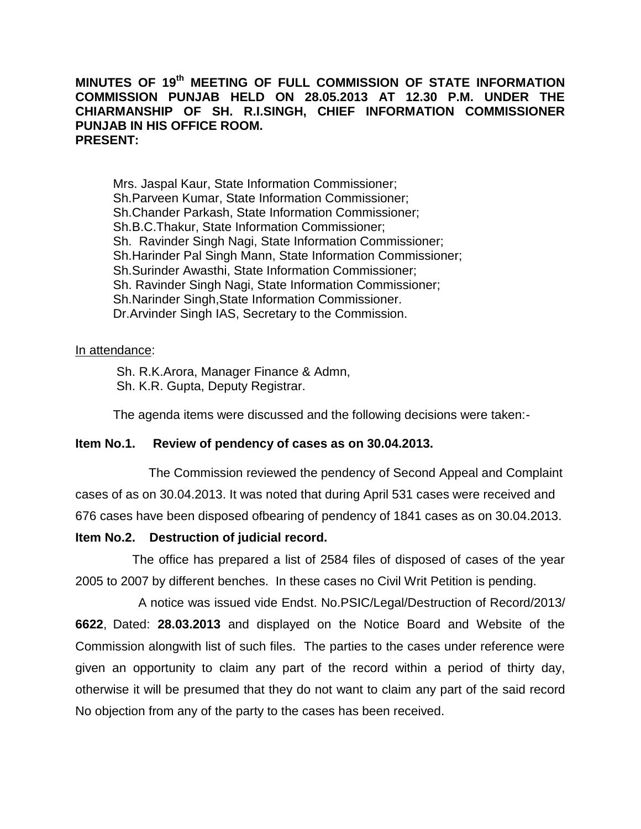#### **MINUTES OF 19th MEETING OF FULL COMMISSION OF STATE INFORMATION COMMISSION PUNJAB HELD ON 28.05.2013 AT 12.30 P.M. UNDER THE CHIARMANSHIP OF SH. R.I.SINGH, CHIEF INFORMATION COMMISSIONER PUNJAB IN HIS OFFICE ROOM. PRESENT:**

Mrs. Jaspal Kaur, State Information Commissioner; Sh.Parveen Kumar, State Information Commissioner; Sh.Chander Parkash, State Information Commissioner; Sh.B.C.Thakur, State Information Commissioner; Sh. Ravinder Singh Nagi, State Information Commissioner; Sh.Harinder Pal Singh Mann, State Information Commissioner; Sh.Surinder Awasthi, State Information Commissioner; Sh. Ravinder Singh Nagi, State Information Commissioner; Sh.Narinder Singh,State Information Commissioner. Dr.Arvinder Singh IAS, Secretary to the Commission.

#### In attendance:

Sh. R.K.Arora, Manager Finance & Admn, Sh. K.R. Gupta, Deputy Registrar.

The agenda items were discussed and the following decisions were taken:-

### **Item No.1. Review of pendency of cases as on 30.04.2013.**

 The Commission reviewed the pendency of Second Appeal and Complaint cases of as on 30.04.2013. It was noted that during April 531 cases were received and 676 cases have been disposed ofbearing of pendency of 1841 cases as on 30.04.2013.

### **Item No.2. Destruction of judicial record.**

 The office has prepared a list of 2584 files of disposed of cases of the year 2005 to 2007 by different benches. In these cases no Civil Writ Petition is pending.

 A notice was issued vide Endst. No.PSIC/Legal/Destruction of Record/2013/ **6622**, Dated: **28.03.2013** and displayed on the Notice Board and Website of the Commission alongwith list of such files. The parties to the cases under reference were given an opportunity to claim any part of the record within a period of thirty day, otherwise it will be presumed that they do not want to claim any part of the said record No objection from any of the party to the cases has been received.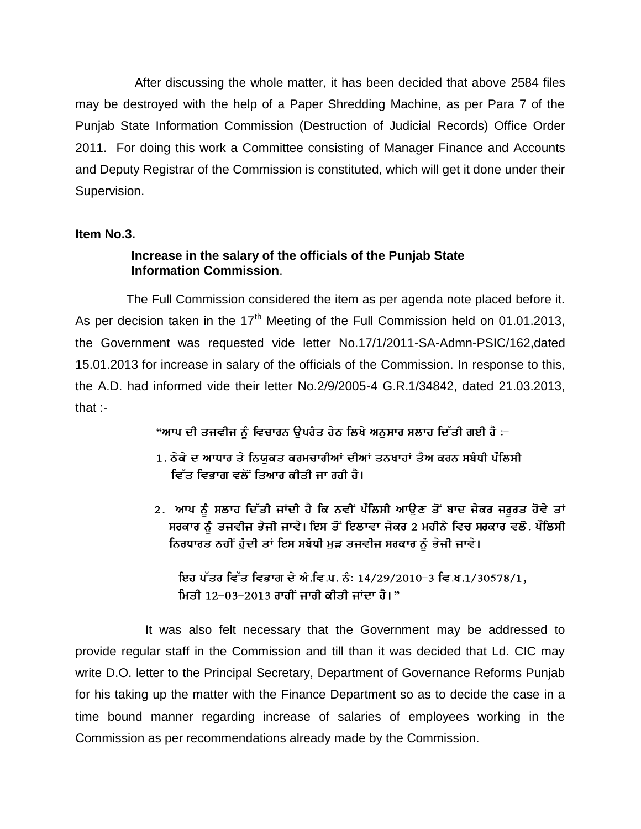After discussing the whole matter, it has been decided that above 2584 files may be destroyed with the help of a Paper Shredding Machine, as per Para 7 of the Punjab State Information Commission (Destruction of Judicial Records) Office Order 2011. For doing this work a Committee consisting of Manager Finance and Accounts and Deputy Registrar of the Commission is constituted, which will get it done under their Supervision.

### **Item No.3.**

# **Increase in the salary of the officials of the Punjab State Information Commission**.

 The Full Commission considered the item as per agenda note placed before it. As per decision taken in the  $17<sup>th</sup>$  Meeting of the Full Commission held on 01.01.2013, the Government was requested vide letter No.17/1/2011-SA-Admn-PSIC/162,dated 15.01.2013 for increase in salary of the officials of the Commission. In response to this, the A.D. had informed vide their letter No.2/9/2005-4 G.R.1/34842, dated 21.03.2013, that  $\cdot$ 

"ਆਪ ਦੀ ਤਜਵੀਜ ਨੂੰ ਵਿਚਾਰਨ ਉਪਰੰਤ ਹੇਠ ਲਿਖੇ ਅਨੁਸਾਰ ਸਲਾਹ ਦਿੱਤੀ ਗਈ ਹੈ :<del>-</del>

- 1. ਠੇਕੇ ਦ ਆਧਾਰ ਤੇ ਨਿਯੁਕਤ ਕਰਮਚਾਰੀਆਂ ਦੀਆਂ ਤਨਖਾਹਾਂ ਤੈਅ ਕਰਨ ਸਬੰਧੀ ਪੌਲਿਸੀ ਵਿੱਤ ਵਿਭਾਗ ਵਲੋਂ ਤਿਆਰ ਕੀਤੀ ਜਾ ਰਹੀ ਹੈ।
- 2. ਆਪ ਨੂੰ ਸਲਾਹ ਦਿੱਤੀ ਜਾਂਦੀ ਹੈ ਕਿ ਨਵੀਂ ਪੌਲਿਸੀ ਆਉਣ ਤੋਂ ਬਾਦ ਜੇਕਰ ਜਰੂਰਤ ਹੋਵੇ ਤਾਂ ਸਰਕਾਰ ਨੂੰ ਤਜਵੀਜ ਭੇਜੀ ਜਾਵੇ। ਇਸ ਤੋਂ ਇਲਾਵਾ ਜੇਕਰ 2 ਮਹੀਨੇ ਵਿਚ ਸਰਕਾਰ ਵਲੋ. ਪੌਲਿਸੀ ਨਿਰਧਾਰਤ ਨਹੀਂ ਹੁੰਦੀ ਤਾਂ ਇਸ ਸਬੰਧੀ ਮੁੜ ਤਜਵੀਜ ਸਰਕਾਰ ਨੂੰ ਭੇਜੀ ਜਾਵੇ।

ਇਹ ਪੱਤਰ ਵਿੱਤ ਵਿਭਾਗ ਦੇ ਅੰ.ਵਿ.ਪ. ਨੰ: 14/29/2010-3 ਵਿ.ਖ.1/30578/1, ਮਿਤੀ 12-03-2013 ਰਾਹੀਂ ਜਾਰੀ ਕੀਤੀ ਜਾਂਦਾ ਹੈ।"

 It was also felt necessary that the Government may be addressed to provide regular staff in the Commission and till than it was decided that Ld. CIC may write D.O. letter to the Principal Secretary, Department of Governance Reforms Punjab for his taking up the matter with the Finance Department so as to decide the case in a time bound manner regarding increase of salaries of employees working in the Commission as per recommendations already made by the Commission.